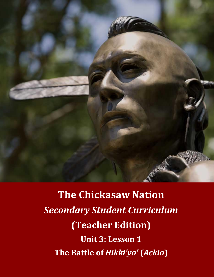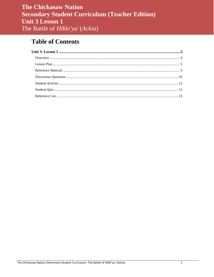## **Table of Contents**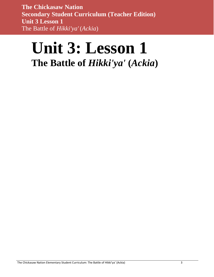# <span id="page-2-0"></span>**Unit 3: Lesson 1 The Battle of** *Hikki'ya'* **(***Ackia***)**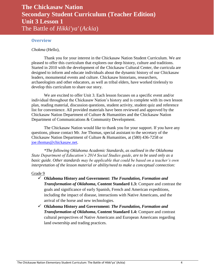#### <span id="page-3-0"></span>**Overview**

*Chokma* (Hello),

Thank you for your interest in the Chickasaw Nation Student Curriculum. We are pleased to offer this curriculum that explores our deep history, culture and traditions. Started in 2010 with the development of the Chickasaw Cultural Center, the curricula are designed to inform and educate individuals about the dynamic history of our Chickasaw leaders, monumental events and culture. Chickasaw historians, researchers, archaeologists and other educators, as well as tribal elders, have worked tirelessly to develop this curriculum to share our story.

We are excited to offer Unit 3. Each lesson focuses on a specific event and/or individual throughout the Chickasaw Nation's history and is complete with its own lesson plan, reading material, discussion questions, student activity, student quiz and reference list for convenience. All provided materials have been reviewed and approved by the Chickasaw Nation Department of Culture & Humanities and the Chickasaw Nation Department of Communications & Community Development.

The Chickasaw Nation would like to thank you for your support. If you have any questions, please contact Mr. Joe Thomas, special assistant to the secretary of the Chickasaw Nation Department of Culture & Humanities, at (580) 436-7258 or [joe.thomas@chickasaw.net.](mailto:joe.thomas@chickasaw.net)

*\*The following Oklahoma Academic Standards, as outlined in the Oklahoma State Department of Education's 2014 Social Studies guide, are to be used only as a basic guide. Other standards may be applicable that could be based on a teacher's own interpretation of the lesson material or ability/need to make a conceptual connection:*

#### Grade 9

- **Oklahoma History and Government:** *The Foundation, Formation and Transformation of Oklahoma***, Content Standard 1.3:** Compare and contrast the goals and significance of early Spanish, French and American expeditions, including the impact of disease, interactions with Native Americans, and the arrival of the horse and new technologies.
- **Oklahoma History and Government:** *The Foundation, Formation and Transformation of Oklahoma***, Content Standard 1.4:** Compare and contrast cultural perspectives of Native Americans and European Americans regarding land ownership and trading practices.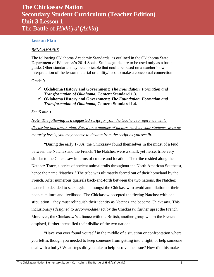#### <span id="page-4-0"></span>**Lesson Plan**

#### *BENCHMARKS*

The following Oklahoma Academic Standards, as outlined in the Oklahoma State Department of Education's 2014 Social Studies guide, are to be used only as a basic guide. Other standards may be applicable that could be based on a teacher's own interpretation of the lesson material or ability/need to make a conceptual connection:

#### Grade 9

- **Oklahoma History and Government:** *The Foundation, Formation and Transformation of Oklahoma***, Content Standard 1.3.**
- **Oklahoma History and Government:** *The Foundation, Formation and Transformation of Oklahoma***, Content Standard 1.4.**

#### *Set (5 min.)*

*Note: The following is a suggested script for you, the teacher, to reference while discussing this lesson plan. Based on a number of factors, such as your students' ages or maturity levels, you may choose to deviate from the script as you see fit.*

"During the early 1700s, the Chickasaw found themselves in the midst of a feud between the Natchez and the French. The Natchez were a small, yet fierce, tribe very similar to the Chickasaw in terms of culture and location. The tribe resided along the Natchez Trace, a series of ancient animal trails throughout the North American Southeast, hence the name 'Natchez.' The tribe was ultimately forced out of their homeland by the French. After numerous quarrels back-and-forth between the two nations, the Natchez leadership decided to seek asylum amongst the Chickasaw to avoid annihilation of their people, culture and livelihood. The Chickasaw accepted the fleeing Natchez with one stipulation—they must relinquish their identity as Natchez and become Chickasaw. This inclusionary (*designed to accommodate)* act by the Chickasaw further upset the French. Moreover, the Chickasaw's alliance with the British, another group whom the French despised, further intensified their dislike of the two nations.

"Have you ever found yourself in the middle of a situation or confrontation where you felt as though you needed to keep someone from getting into a fight, or help someone deal with a bully? What steps did you take to help resolve the issue? How did this make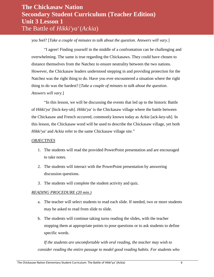you feel? [*Take a couple of minutes to talk about the question. Answers will vary.*]

"I agree! Finding yourself in the middle of a confrontation can be challenging and overwhelming. The same is true regarding the Chickasaws. They could have chosen to distance themselves from the Natchez to ensure neutrality between the two nations. However, the Chickasaw leaders understood stepping in and providing protection for the Natchez was the right thing to do. Have you ever encountered a situation where the right thing to do was the hardest? [*Take a couple of minutes to talk about the question. Answers will vary.*]

"In this lesson, we will be discussing the events that led up to the historic Battle of *Hikki'ya'* [hick-key-uh]. *Hikki'ya'* is the Chickasaw village where the battle between the Chickasaw and French occurred, commonly known today as *Ackia* [ack-key-uh]. In this lesson, the Chickasaw word will be used to describe the Chickasaw village, yet both *Hikki'ya'* and *Ackia* refer to the same Chickasaw village site."

#### *OBJECTIVES*

- 1. The students will read the provided PowerPoint presentation and are encouraged to take notes.
- 2. The students will interact with the PowerPoint presentation by answering discussion questions.
- 3. The students will complete the student activity and quiz.

#### *READING PROCEDURE (20 min.)*

- a. The teacher will select students to read each slide. If needed, two or more students may be asked to read from slide to slide.
- b. The students will continue taking turns reading the slides, with the teacher stopping them at appropriate points to pose questions or to ask students to define specific words.

*If the students are uncomfortable with oral reading, the teacher may wish to consider reading the entire passage to model good reading habits. For students who*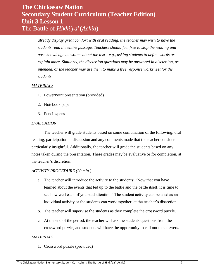*already display great comfort with oral reading, the teacher may wish to have the students read the entire passage. Teachers should feel free to stop the reading and pose knowledge questions about the text—e.g., asking students to define words or explain more. Similarly, the discussion questions may be answered in discussion, as intended, or the teacher may use them to make a free response worksheet for the students.*

#### *MATERIALS*

- 1. PowerPoint presentation (provided)
- 2. Notebook paper
- 3. Pencils/pens

#### *EVALUATION*

The teacher will grade students based on some combination of the following: oral reading, participation in discussion and any comments made that the teacher considers particularly insightful. Additionally, the teacher will grade the students based on any notes taken during the presentation. These grades may be evaluative or for completion, at the teacher's discretion.

#### *ACTIVITY PROCEDURE (20 min.)*

- a. The teacher will introduce the activity to the students: "Now that you have learned about the events that led up to the battle and the battle itself, it is time to see how well each of you paid attention." The student activity can be used as an individual activity or the students can work together, at the teacher's discretion.
- b. The teacher will supervise the students as they complete the crossword puzzle.
- c. At the end of the period, the teacher will ask the students questions from the crossword puzzle, and students will have the opportunity to call out the answers.

#### *MATERIALS*

1. Crossword puzzle (provided)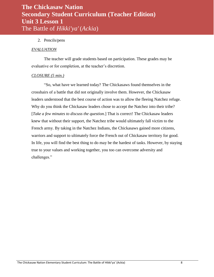#### 2. Pencils/pens

#### *EVALUATION*

The teacher will grade students based on participation. These grades may be evaluative or for completion, at the teacher's discretion.

#### *CLOSURE (5 min.)*

"So, what have we learned today? The Chickasaws found themselves in the crosshairs of a battle that did not originally involve them. However, the Chickasaw leaders understood that the best course of action was to allow the fleeing Natchez refuge. Why do you think the Chickasaw leaders chose to accept the Natchez into their tribe? [*Take a few minutes to discuss the question.*] That is correct! The Chickasaw leaders knew that without their support, the Natchez tribe would ultimately fall victim to the French army. By taking in the Natchez Indians, the Chickasaws gained more citizens, warriors and support to ultimately force the French out of Chickasaw territory for good. In life, you will find the best thing to do may be the hardest of tasks. However, by staying true to your values and working together, you too can overcome adversity and challenges."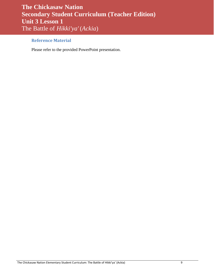### <span id="page-8-0"></span>**Reference Material**

Please refer to the provided PowerPoint presentation.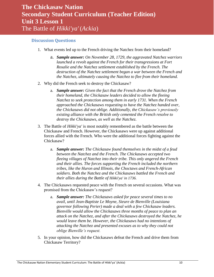#### <span id="page-9-0"></span>**Discussion Questions**

- 1. What events led up to the French driving the Natchez from their homeland?
	- a. *Sample answer: On November 28, 1729, the aggravated Natchez warriors launched a revolt against the French for their transgressions at Fort Rosalie and the Natchez settlement established by the French. The destruction of the Natchez settlement began a war between the French and the Natchez, ultimately causing the Natchez to flee from their homeland.*
- 2. Why did the French seek to destroy the Chickasaw?
	- a. *Sample answer: Given the fact that the French drove the Natchez from their homeland, the Chickasaw leaders decided to allow the fleeing Natchez to seek protection among them in early 1731. When the French approached the Chickasaws requesting to have the Natchez handed over, the Chickasaws did not oblige. Additionally, the Chickasaw's previously existing alliance with the British only cemented the French resolve to destroy the Chickasaws, as well as the Natchez.*
- 3. The Battle of *Hikki'ya'* is most notably remembered as the battle between the Chickasaw and French. However, the Chickasaws were up against additional forces allied with the French. Who were the additional forces fighting against the Chickasaw?
	- a. *Sample answer: The Chickasaw found themselves in the midst of a feud between the Natchez and the French. The Chickasaws accepted two fleeing villages of Natchez into their tribe. This only angered the French and their allies. The forces supporting the French included the northern tribes, like the Huron and Illinois, the Choctaws and French-African soldiers. Both the Natchez and the Chickasaws battled the French and their allies during the Battle of Hikki'ya' in 1736.*
- 4. The Chickasaws requested peace with the French on several occasions. What was promised from the Chickasaw's request?
	- a. *Sample answer: The Chickasaws asked for peace several times to no avail, until Jean-Baptiste Le Moyne, Sieure de Bienville (Louisiana governor following Perier) made a deal with a few Chickasaw leaders. Bienville would allow the Chickasaws three months of peace to plan an attack on the Natchez, and after the Chickasaws destroyed the Natchez, he would leave them be. However, the Chickasaws had no intentions of attacking the Natchez and presented excuses as to why they could not oblige Bienville's request.*
- 5. In your opinion, how did the Chickasaws defeat the French and drive them from Chickasaw Territory?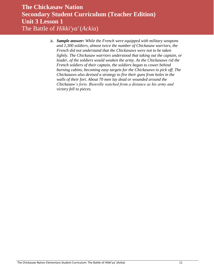a. *Sample answer: While the French were equipped with military weapons and 1,300 soldiers, almost twice the number of Chickasaw warriors, the French did not understand that the Chickasaws were not to be taken lightly. The Chickasaw warriors understood that taking out the captain, or leader, of the soldiers would weaken the army. As the Chickasaws rid the French soldiers of their captain, the soldiers began to cower behind burning cabins, becoming easy targets for the Chickasaws to pick off. The Chickasaws also devised a strategy to fire their guns from holes in the walls of their fort. About 70 men lay dead or wounded around the Chickasaw's forts. Bienville watched from a distance as his army and victory fell to pieces.*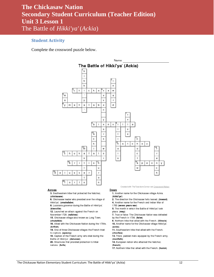#### <span id="page-11-0"></span>**Student Activity**

Complete the crossword puzzle below.



#### **Across**

3. Southeastern tribe that protected the Natchez.  $(chickasaw)$ 

6. Chickasaw leader who presided over the village of Hikki'ya'. (ymahatabe)

8. Louisiana governor during the Battle of Hikki'ya'. (bienville)

12. Launched an attack against the French on November 1729. (natchez)

15. Chickasaw village also known as Long Town.

(chukafala)

16. Allied with the Chickasaw Nation during the 1700s. (british)

18. One of three Chickasaw villages the French tried to capture. (apeony)

19. Captain of the French army who died during the Battle of Hikki'ya'. (delusser)

20. Structures that provided protection to tribal

nations. (forts)

Created with The Teachers Corner.net Crossword Maker

<u>Down</u> 1. Another name for the Chickasaw village Ackia.

(hikki'ya')

2. The direction the Chickasaw forts leaned. (inward) 4. Another name for the French and Indian War of

1763 (seven years war)

5. The month in which the Battle of Hikki'ya' took place. (may)

7. True or false: The Chickasaw Nation was defeated by the French in 1736. (false)

9. Northern tribe that allied with the French. (illinois) 10. Another name for the Chickasaw village Hikki'ya'.

(ackia) 11. Southeastern tribe that allied with the French.

(choctaw)

13. Thick, padded mats equipped by the French army. (mantlets)

14. European nation who attacked the Natchez.

(french)

17. Northern tribe that allied with the French. (huron)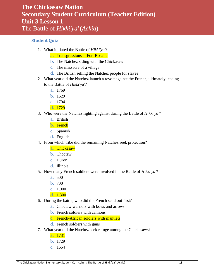#### <span id="page-12-0"></span>**Student Quiz**

- 1. What initiated the Battle of *Hikki'ya'*?
	- **a.** Transgressions at Fort Rosalie
	- **b.** The Natchez siding with the Chickasaw
	- **c.** The massacre of a village
	- **d.** The British selling the Natchez people for slaves
- 2. What year did the Natchez launch a revolt against the French, ultimately leading to the Battle of *Hikki'ya'*?
	- **a.** 1769
	- **b.** 1629
	- **c.** 1794
	- **d.** 1729
- 3. Who were the Natchez fighting against during the Battle of *Hikki'ya'*?
	- **a.** British
	- **b.** French
	- **c.** Spanish
	- **d.** English
- 4. From which tribe did the remaining Natchez seek protection?
	- **a.** Chickasaw
	- **b.** Choctaw
	- **c.** Huron
	- **d.** Illinois
- 5. How many French soldiers were involved in the Battle of *Hikki'ya'*?
	- **a.** 500
	- **b.** 700
	- **c.** 1,000
	- **d.** 1,300
- 6. During the battle, who did the French send out first?
	- **a.** Choctaw warriors with bows and arrows
	- **b.** French soldiers with cannons
	- **c.** French-African soldiers with mantlets
	- **d.** French soldiers with guns
- 7. What year did the Natchez seek refuge among the Chickasaws?
	- **a.** 1731
	- **b.** 1729
	- **c.** 1654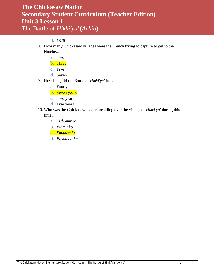#### **d.** 1826

- 8. How many Chickasaw villages were the French trying to capture to get to the Natchez?
	- **a.** Two
	- **b.** Three
	- **c.** Five
	- **d.** Seven
- 9. How long did the Battle of *Hikki'ya'* last?
	- **a.** Four years
	- **b.** Seven years
	- **c.** Two years
	- **d.** Five years
- 10. Who was the Chickasaw leader presiding over the village of *Hikki'ya'* during this time?
	- **a.** *Tishominko*
	- **b.** *Piominko*
	- **c.** *Ymahatabe*
	- **d.** *Payamataha*